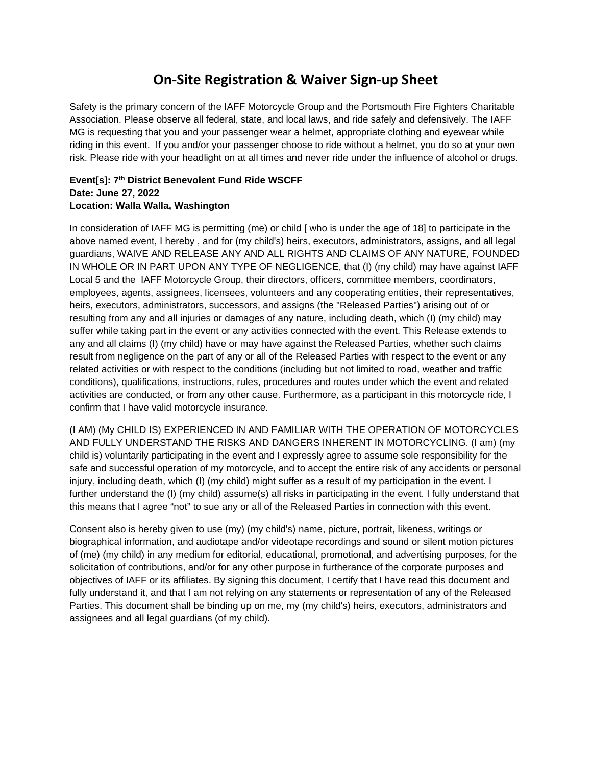## **On-Site Registration & Waiver Sign-up Sheet**

Safety is the primary concern of the IAFF Motorcycle Group and the Portsmouth Fire Fighters Charitable Association. Please observe all federal, state, and local laws, and ride safely and defensively. The IAFF MG is requesting that you and your passenger wear a helmet, appropriate clothing and eyewear while riding in this event. If you and/or your passenger choose to ride without a helmet, you do so at your own risk. Please ride with your headlight on at all times and never ride under the influence of alcohol or drugs.

## **Event[s]: 7th District Benevolent Fund Ride WSCFF Date: June 27, 2022 Location: Walla Walla, Washington**

In consideration of IAFF MG is permitting (me) or child [ who is under the age of 18] to participate in the above named event, I hereby , and for (my child's) heirs, executors, administrators, assigns, and all legal guardians, WAIVE AND RELEASE ANY AND ALL RIGHTS AND CLAIMS OF ANY NATURE, FOUNDED IN WHOLE OR IN PART UPON ANY TYPE OF NEGLIGENCE, that (I) (my child) may have against IAFF Local 5 and the IAFF Motorcycle Group, their directors, officers, committee members, coordinators, employees, agents, assignees, licensees, volunteers and any cooperating entities, their representatives, heirs, executors, administrators, successors, and assigns (the "Released Parties") arising out of or resulting from any and all injuries or damages of any nature, including death, which (I) (my child) may suffer while taking part in the event or any activities connected with the event. This Release extends to any and all claims (I) (my child) have or may have against the Released Parties, whether such claims result from negligence on the part of any or all of the Released Parties with respect to the event or any related activities or with respect to the conditions (including but not limited to road, weather and traffic conditions), qualifications, instructions, rules, procedures and routes under which the event and related activities are conducted, or from any other cause. Furthermore, as a participant in this motorcycle ride, I confirm that I have valid motorcycle insurance.

(I AM) (My CHILD IS) EXPERIENCED IN AND FAMILIAR WITH THE OPERATION OF MOTORCYCLES AND FULLY UNDERSTAND THE RISKS AND DANGERS INHERENT IN MOTORCYCLING. (I am) (my child is) voluntarily participating in the event and I expressly agree to assume sole responsibility for the safe and successful operation of my motorcycle, and to accept the entire risk of any accidents or personal injury, including death, which (I) (my child) might suffer as a result of my participation in the event. I further understand the (I) (my child) assume(s) all risks in participating in the event. I fully understand that this means that I agree "not" to sue any or all of the Released Parties in connection with this event.

Consent also is hereby given to use (my) (my child's) name, picture, portrait, likeness, writings or biographical information, and audiotape and/or videotape recordings and sound or silent motion pictures of (me) (my child) in any medium for editorial, educational, promotional, and advertising purposes, for the solicitation of contributions, and/or for any other purpose in furtherance of the corporate purposes and objectives of IAFF or its affiliates. By signing this document, I certify that I have read this document and fully understand it, and that I am not relying on any statements or representation of any of the Released Parties. This document shall be binding up on me, my (my child's) heirs, executors, administrators and assignees and all legal guardians (of my child).